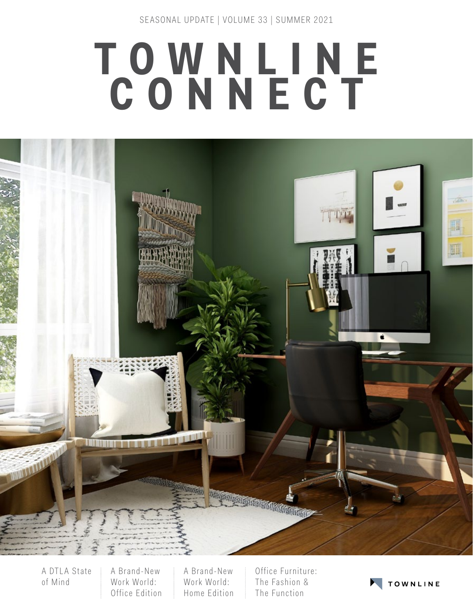SE ASONAL UPDATE | VOLUME 33 | SUMMER 2021

# **TOWNLINE CONNECT**



A DTLA State of Mind

A Brand-New Work World: Office Edition

A Brand-New Work World: Home Edition

Office Furniture: The Fashion & The Function

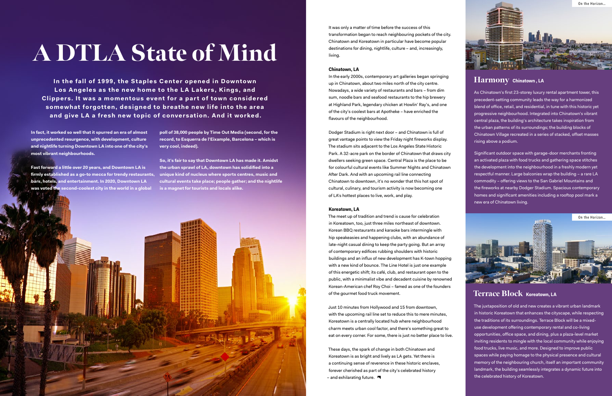**In fact, it worked so well that it spurred an era of almost unprecedented resurgence, with development, culture and nightlife turning Downtown LA into one of the city's most vibrant neighbourhoods.** 

**Fast forward a little over 20 years, and Downtown LA is firmly established as a go-to mecca for trendy restaurants, unique kind of nucleus where sports centres, music and bars, hotels, and entertainment. In 2020, Downtown LA was voted the second-coolest city in the world in a global** 

In the fall of 1999, the Staples Center opened in Downtown Los Angeles as the new home to the LA Lakers, Kings, and **Clippers. It was a momentous event for a part of town considered somewhat forgotten, designed to breathe new life into the area and give LA a fresh new topic of conversation. And it worked.**

# A DTLA State of Mind

**poll of 38,000 people by Time Out Media (second, for the record, to Esquerra de l'Eixample, Barcelona – which is very cool, indeed).** 

**So, it's fair to say that Downtown LA has made it. Amidst the urban sprawl of LA, downtown has solidified into a cultural events take place; people gather; and the nightlife is a magnet for tourists and locals alike.** 



It was only a matter of time before the success of this transformation began to reach neighbouring pockets of the city. Chinatown and Koreatown in particular have become popular destinations for dining, nightlife, culture – and, increasingly, living.

#### **Chinatown, LA**

In the early 2000s, contemporary art galleries began springing up in Chinatown, about two miles north of the city centre. Nowadays, a wide variety of restaurants and bars – from dim sum, noodle bars and seafood restaurants to the hip brewery at Highland Park, legendary chicken at Howlin' Ray's, and one of the city's coolest bars at Apotheke – have enriched the flavours of the neighbourhood.

These days, the spark of change in both Chinatown and Koreatown is as bright and lively as LA gets. Yet there is a continuing sense of reverence in these historic enclaves, forever cherished as part of the city's celebrated history - and exhilarating future.  $\blacksquare$ 

Dodger Stadium is right next door – and Chinatown is full of great vantage points to view the Friday night fireworks display. The stadium sits adjacent to the Los Angeles State Historic Park. A 32-acre park on the border of Chinatown that draws city dwellers seeking green space. Central Plaza is the place to be for colourful cultural events like Summer Nights and Chinatown After Dark. And with an upcoming rail line connecting Chinatown to downtown, it's no wonder that this hot spot of cultural, culinary, and tourism activity is now becoming one of LA's hottest places to live, work, and play.

#### **Koreatown, LA**

The meet up of tradition and trend is cause for celebration in Koreatown, too, just three miles northeast of downtown. Korean BBQ restaurants and karaoke bars intermingle with hip speakeasies and happening clubs, with an abundance of late-night casual dining to keep the party going. But an array of contemporary edifices rubbing shoulders with historic buildings and an influx of new development has K-town hopping with a new kind of bounce. The Line Hotel is just one example of this energetic shift; its café, club, and restaurant open to the public, with a minimalist vibe and decadent cuisine by renowned Korean-American chef Roy Choi – famed as one of the founders of the gourmet food truck movement.

Just 10 minutes from Hollywood and 15 from downtown, with the upcoming rail line set to reduce this to mere minutes, Koreatown is a centrally located hub where neighbourhood charm meets urban cool factor, and there's something great to eat on every corner. For some, there is just no better place to live.

## Harmony **Chinatown , LA**

As Chinatown's first 23-storey luxury rental apartment tower, this precedent-setting community leads the way for a harmonized blend of office, retail, and residential, in tune with this historic yet progressive neighbourhood. Integrated into Chinatown's vibrant central plaza, the building's architecture takes inspiration from the urban patterns of its surroundings; the building blocks of Chinatown Village recreated in a series of stacked, offset masses rising above a podium.

Significant outdoor space with garage-door merchants fronting an activated plaza with food trucks and gathering space stitches the development into the neighbourhood in a freshly modern yet respectful manner. Large balconies wrap the building – a rare LA commodity – offering views to the San Gabriel Mountains and the fireworks at nearby Dodger Stadium. Spacious contemporary homes and significant amenities including a rooftop pool mark a new era of Chinatown living.

Terrace Block **Koreatown, LA** 

The juxtaposition of old and new creates a vibrant urban landmark in historic Koreatown that enhances the cityscape, while respecting the traditions of its surroundings. Terrace Block will be a mixeduse development offering contemporary rental and co-living opportunities, office space, and dining, plus a plaza-level market inviting residents to mingle with the local community while enjoying food trucks, live music, and more. Designed to improve public spaces while paying homage to the physical presence and cultural memory of the neighbouring church, itself an important community landmark, the building seamlessly integrates a dynamic future into the celebrated history of Koreatown.



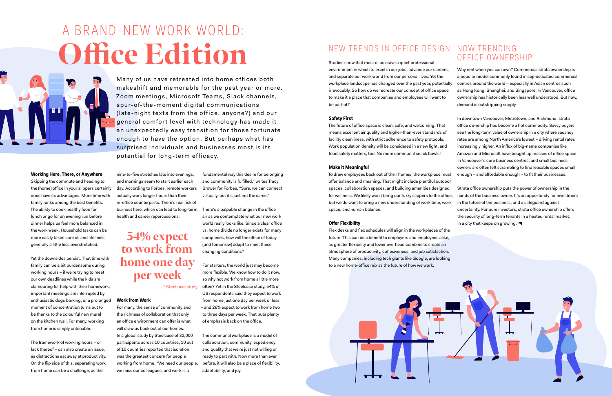#### **Working Here, There, or Anywhere**

Skipping the commute and heading to the (home) office in your slippers certainly does have its advantages. More time with family ranks among the best benefits. The ability to cook healthy food for lunch or go for an evening run before dinner helps us feel more balanced in the work week. Household tasks can be more easily taken care of, and life feels generally a little less overstretched.

Yet the downsides persist. That time with family can be a bit burdensome during working hours – if we're trying to meet our own deadlines while the kids are clamouring for help with their homework, important meetings are interrupted by enthusiastic dogs barking, or a prolonged moment of concentration turns out to be thanks to the colourful new mural on the kitchen wall. For many, working from home is simply untenable.

The framework of working hours – or lack thereof – can also create an issue, as distractions eat away at productivity. On the flip side of this, separating work from home can be a challenge, as the

nine-to-five stretches late into evenings, and mornings seem to start earlier each day. According to Forbes, remote workers actually work longer hours than their in-office counterparts. There's real risk of burnout here, which can lead to long-term health and career repercussions.

#### **Work from Work**

For many, the sense of community and the richness of collaboration that only an office environment can offer is what will draw us back out of our homes. In a global study by Steelcase of 32,000 participants across 10 countries, 10 out of 10 countries reported that isolation was the greatest concern for people working from home. "We need our people, we miss our colleagues, and work is a

# A BRAND-NEW WORK WORLD: Office Edition



Many of us have retreated into home offices both makeshift and memorable for the past year or more. Zoom meetings, Microsoft Teams, Slack channels, spur-of-the-moment digital communications (late-night texts from the office, anyone?) and our general comfort level with technology has made it an unexpectedly easy transition for those fortunate enough to have the option. But perhaps what has surprised individuals and businesses most is its potential for long-term efficacy.

> fundamental way this desire for belonging and community is fulfilled," writes Tracy Brower for Forbes. "Sure, we can connect virtually, but it's just not the same."

To draw employees back out of their homes, the workplace must offer balance and meaning. That might include plentiful outdoor spaces, collaboration spaces, and building amenities designed for wellness. We likely won't bring our fuzzy slippers to the office, but we do want to bring a new understanding of work time, work space, and human balance. **Offer Flexibility**  Strata office ownership puts the power of ownership in the hands of the business owner. It's an opportunity for investment in the future of the business, and a safeguard against uncertainty. For pure investors, strata office ownership offers the security of long-term tenants in a heated rental market, in a city that keeps on growing.  $\blacksquare$ 

There's a palpable change in the office air as we contemplate what our new work world really looks like. Since a clear office vs. home divide no longer exists for many companies, how will the office of today (and tomorrow) adapt to meet these changing conditions?

For starters, the world just may become more flexible. We know how to do it now, so why not work from home a little more often? Yet in the Steelcase study, 54% of US respondents said they expect to work from home just one day per week or less – and 26% expect to work from home two to three days per week. That puts plenty of emphasis back on the office.

The communal workplace is a model of collaboration, community, expediency and quality that we're just not willing or ready to part with. Now more than ever before, it will also be a place of flexibility, adaptability, and joy.

## NEW TRENDS IN OFFICE DESIGN NOW TRENDING:

# 54% expect to work from home one day per week

\* Steelcase study

Studies show that most of us crave a quiet professional environment in which to excel in our jobs, advance our careers, and separate our work world from our personal lives. Yet the workplace landscape has changed over the past year, potentially irrevocably. So how do we recreate our concept of office space to make it a place that companies and employees will want to be part of?

#### **Safety First**

The future of office space is clean, safe, and welcoming. That means excellent air quality and higher-than-ever standards of facility cleanliness, with strict adherence to safety protocols. Work population density will be considered in a new light, and food safety matters, too. No more communal snack bowls!

#### **Make it Meaningful**

Flex desks and flex schedules will align in the workplaces of the future. This can be a benefit to employers and employees alike, as greater flexibility and lower overhead combine to create an atmosphere of productivity, cohesiveness, and job satisfaction. Many companies, including tech giants like Google, are looking to a new home-office mix as the future of how we work.



# OFFICE OWNERSHIP

Why rent when you can own? Commercial strata ownership is a popular model commonly found in sophisticated commercial centres around the world – especially in Asian centres such as Hong Kong, Shanghai, and Singapore. In Vancouver, office ownership has historically been less well understood. But now, demand is outstripping supply.

In downtown Vancouver, Metrotown, and Richmond, strata office ownership has become a hot commodity. Savvy buyers see the long-term value of ownership in a city where vacancy rates are among North America's lowest – driving rental rates increasingly higher. An influx of big-name companies like Amazon and Microsoft have bought up masses of office space in Vancouver's core business centres, and small business owners are often left scrambling to find leasable spaces small enough – and affordable enough – to fit their businesses.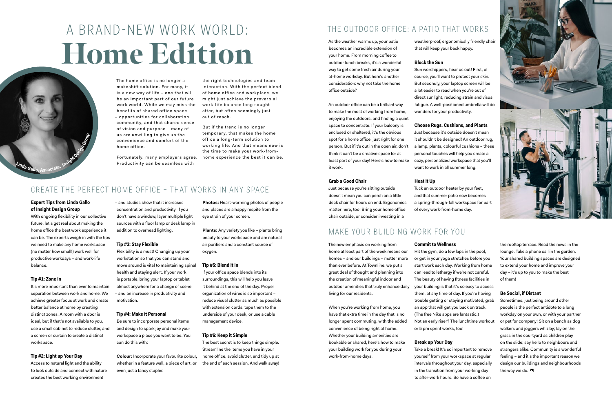the right technologies and team interaction. With the perfect blend of home office and workplace, we might just achieve the proverbial work-life balance long soughtafter, but often se emingly just out of reach.

But if the trend is no longer temporary, that makes the home office a long-term solution to working life. A nd that means now is the time to make your work-fromhome experience the best it can be.

## CREATE THE PERFECT HOME OFFICE - THAT WORKS IN ANY SPACE

# A BRAND-NEW WORK WORLD: Home Edition

# THE OUTDOOR OFFICE: A PATIO THAT WORKS

#### **Expert Tips from Linda Gallo of Insight Design Group**

With ongoing flexibility in our collective future, let's get real about making the home office the best work experience it can be. The experts weigh in with the tips we need to make any home workspace (no matter how small!) work well for productive workdays – and work-life balance.

#### **Tip #1: Zone In**

It's more important than ever to maintain separation between work and home. We achieve greater focus at work and create better balance at home by creating distinct zones. A room with a door is ideal, but if that's not available to you, use a small cabinet to reduce clutter, and a screen or curtain to create a distinct workspace.

#### **Tip #2: Light up Your Day**

Access to natural light and the ability to look outside and connect with nature creates the best working environment

– and studies show that it increases concentration and productivity. If you don't have a window, layer multiple light sources with a floor lamp or desk lamp in addition to overhead lighting.

#### **Tip #3: Stay Flexible**

weatherproof, ergonomically friendly chai that will keep your back happy.

Flexibility is a must! Changing up your workstation so that you can stand and move around is vital to maintaining spinal health and staying alert. If your work is portable, bring your laptop or tablet almost anywhere for a change of scene – and an increase in productivity and motivation.

#### **Tip #4: Make it Personal**

Be sure to incorporate personal items and design to spark joy and make your workspace a place you want to be. You can do this with:

**Colour:** Incorporate your favourite colour, whether in a feature wall, a piece of art, or even just a fancy stapler.

**Photos:** Heart-warming photos of people and places are a happy respite from the eye strain of your screen.

**Plants:** Any variety you like – plants bring beauty to your workspace and are natural air purifiers and a constant source of oxygen.

#### **Tip #5: Blend it In**

If your office space blends into its surroundings, this will help you leave it behind at the end of the day. Proper organization of wires is so important – reduce visual clutter as much as possible with extension cords, tape them to the underside of your desk, or use a cable management device.

#### **Tip #6: Keep it Simple**

Sometimes, just being around other people is the perfect antidote to a long workday on your own, or with your partner or pet for company! Sit on a bench as dog walkers and joggers whiz by; lay on the grass in the courtyard as children play on the slide; say hello to neighbours and strangers alike. Community is a wonderful feeling – and it's the important reason we design our buildings and neighbourhoods the way we do.  $\blacksquare$ 

The best secret is to keep things simple. Streamline the items you have in your home office, avoid clutter, and tidy up at the end of each session. And walk away!

As the weather warms up, your patio becomes an incredible extension of your home. From morning coffee to outdoor lunch breaks, it's a wonderful way to get some fresh air during your at-home workday. But here's another consideration: why not take the home office outside?

An outdoor office can be a brilliant way to make the most of working from home, enjoying the outdoors, and finding a quiet space to concentrate. If your balcony is enclosed or sheltered, it's the obvious spot for a home office, just right for one person. But if it's out in the open air, don't think it can't be a creative space for at least part of your day! Here's how to make it work.

#### **Grab a Good Chair**

Just because you're sitting outside doesn't mean you can perch on a little deck chair for hours on end. Ergonomics matter here, too! Bring your home office chair outside, or consider investing in a

## MAKE YOUR BUILDING WORK FOR YOU

#### **Block the Sun**

Sun worshippers, hear us out! First, of course, you'll want to protect your skin. But secondly, your laptop screen will be a lot easier to read when you're out of direct sunlight, reducing strain and visual fatigue. A well-positioned umbrella will do wonders for your productivity.

#### **Choose Rugs, Cushions, and Plants**

Just because it's outside doesn't mean it shouldn't be designed! An outdoor rug, a lamp, plants, colourful cushions – these personal touches will help you create a cozy, personalized workspace that you'll want to work in all summer long.

#### **Heat it Up**

Tuck an outdoor heater by your feet, and that summer patio now becomes a spring-through-fall workspace for part of every work-from-home day.

The new emphasis on working from home at least part of the week means our homes – and our buildings – matter more than ever before. At Townline, we put a great deal of thought and planning into the creation of meaningful indoor and outdoor amenities that truly enhance daily living for our residents.

When you're working from home, you have that extra time in the day that is no longer spent commuting, with the added convenience of being right at home. Whether your building amenities are bookable or shared, here's how to make your building work for you during your work-from-home days.

# **Commit to Wellness**

Hit the gym, do a few laps in the pool, or get in your yoga stretches before you start work each day. Working from home can lead to lethargy if we're not careful. The beauty of having fitness facilities in your building is that it's so easy to access them, at any time of day. If you're having trouble getting or staying motivated, grab an app that will get you back on track. (The free Nike apps are fantastic.) Not an early riser? The lunchtime workout or 5 pm sprint works, too! **Break up Your Day**  Take a break! It's so important to remove

yourself from your workspace at regular intervals throughout your day, especially in the transition from your working day to after-work hours. So have a coffee on



the rooftop terrace. Read the news in the lounge. Take a phone call in the garden. Your shared building spaces are designed to extend your home and improve your day – it's up to you to make the best of them!

### **Be Social, if Distant**



The home office is no longer a makeshift solution. For many, it is a new way of life – one that will be an important part of our future work world. While we may miss the benefits of shared office space – oppor tunities for c ollaboration, community, and that shared sense of vision and purpose – many of us are unwilling to give up the convenience and comfort of the home office.

Fortunately, many employers agree. Productivity can be seamless with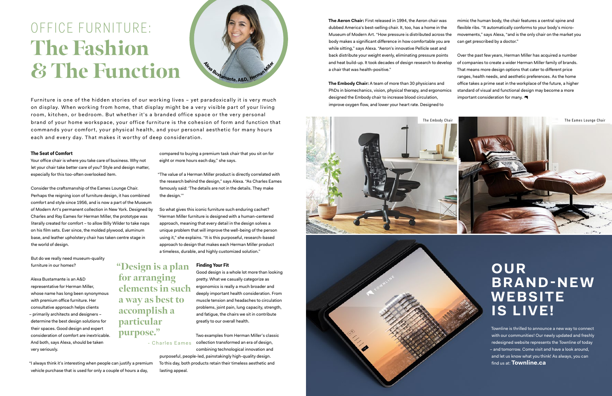# OFFICE FURNITURE: The Fashion & The Function

#### **The Seat of Comfort**

Your office chair is where you take care of business. Why not let your chair take better care of you? Style and design matter, especially for this too-often overlooked item.

Consider the craftsmanship of the Eames Lounge Chair. Perhaps the reigning icon of furniture design, it has combined comfort and style since 1956, and is now a part of the Museum of Modern Art's permanent collection in New York. Designed by Charles and Ray Eames for Herman Miller, the prototype was literally created for comfort – to allow Billy Wilder to take naps on his film sets. Ever since, the molded plywood, aluminum base, and leather upholstery chair has taken centre stage in the world of design.

But do we really need museum-quality furniture in our homes?

Alexa Bustamante is an A&D representative for Herman Miller, whose name has long been synonymous with premium office furniture. Her consultative approach helps clients – primarily architects and designers – determine the best design solutions for their spaces. Good design and expert consideration of comfort are inextricable. And both, says Alexa, should be taken very seriously.

"I always think it's interesting when people can justify a premium vehicle purchase that is used for only a couple of hours a day,

compared to buying a premium task chair that you sit on for eight or more hours each day," she says.

"The value of a Herman Miller product is directly correlated with the research behind the design," says Alexa. "As Charles Eames famously said: 'The details are not in the details. They make the design.'"

**The Embody Chair:** A team of more than 30 physicians and PhDs in biomechanics, vision, physical therapy, and ergonomics designed the Embody chair to increase blood circulation, improve oxygen flow, and lower your heart rate. Designed to office takes a prime seat in the workplace of the future, a higher standard of visual and functional design may become a more Furniture is one of the hidden stories of our working lives – yet paradoxically it is very much<br>Furniture is one of the hidden stories of our working lives – yet paradoxically it is very much

> So what gives this iconic furniture such enduring cachet? "Herman Miller furniture is designed with a human-centered approach, meaning that every detail in the design solves a unique problem that will improve the well-being of the person using it," she explains. "It is this purposeful, research-based approach to design that makes each Herman Miller product a timeless, durable, and highly customized solution."

#### **Finding Your Fit**

Good design is a whole lot more than looking pretty. What we casually categorize as ergonomics is really a much broader and deeply important health consideration. From muscle tension and headaches to circulation problems, joint pain, lung capacity, strength, and fatigue, the chairs we sit in contribute greatly to our overall health.

Two examples from Herman Miller's classic - Charles Eames collection transformed an era of design, combining technological innovation and



purposeful, people-led, painstakingly high-quality design. To this day, both products retain their timeless aesthetic and lasting appeal.

**The Aeron Chair:** First released in 1994, the Aeron chair was dubbed America's best-selling chair. It, too, has a home in the Museum of Modern Art. "How pressure is distributed across the body makes a significant difference in how comfortable you are while sitting," says Alexa. "Aeron's innovative Pellicle seat and back distribute your weight evenly, eliminating pressure points and heat build-up. It took decades of design research to develop a chair that was health-positive." flexible ribs. "It automatically conforms to your body's microcan get prescribed by a doctor." Over the past few years, Herman Miller has acquired a number of companies to create a wider Herman Miller family of brands. That means more design options that cater to different price ranges, health needs, and aesthetic preferences. As the home

mimic the human body, the chair features a central spine and movements," says Alexa, "and is the only chair on the market you

"Design is a plan for arranging elements in such a way as best to accomplish a particular purpose."



on display. When working from home, that display might be a very visible part of your living room, kitchen, or bedroom. But whether it's a branded office space or the very personal brand of your home workspace, your office furniture is the cohesion of form and function that commands your comfort, your physical health, and your personal aesthetic for many hours each and every day. That makes it worthy of deep consideration.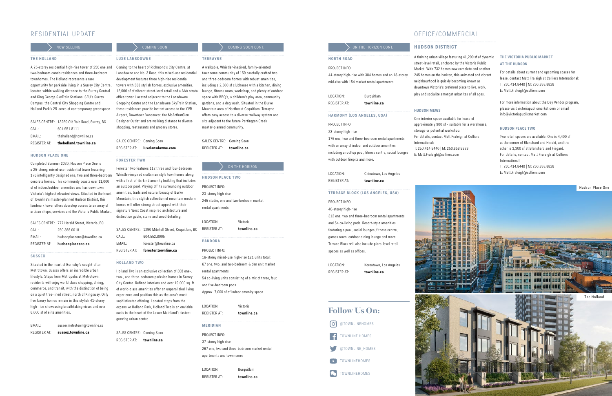#### **THE HOLLAND**

A 25-storey residential high-rise tower of 250 one and Coming to the hear t of Richmond's City Centre, at two-bedroom condo residences and three-bedroom townhomes. The Holland represents a rare opportunity for parkside living in a Surrey City Centre, located within walking distance to the Surrey Central and King George SkyTrain Stations, SFU's Surrey Campus, the Central City Shopping Centre and Holland Park's 25-acres of contemporary greenspace..

| REGISTER AT: | theholland.townline.ca                        |
|--------------|-----------------------------------------------|
| EMAIL:       | theholland@townline.ca                        |
| CALL:        | 604.951.8111                                  |
|              | SALES CENTRE: 13260 Old Yale Road, Surrey, BC |

#### **HUDSON PLACE ONE**

Completed Summer 2020, Hudson Place One is a 25-storey, mixed-use residential tower featuring 176 intelligently designed one, two and three-bedroom concrete homes. This community boasts over 11,000 sf of indoor/outdoor amenities and has downtown Victoria's highest elevated views. Situated in the heart of Townline's master-planned Hudson District, this landmark tower offers doorstep access to an array of artisan shops, services and the Victoria Public Market.

Situated in the heart of Burnaby's sought-after Metrotown, Sussex offers an incredible urban lifestyle. Steps from Metropolis at Metrotown, residents will enjoy world class shopping, dining, commerce, and transit, with the distinction of being on a quiet tree-lined street, nor th of Kingsway. Only five luxury homes remain in this stylish 41-storey high-rise showcasing breathtaking views and over 6,000 sf of elite amenities.

| REGISTER AT: | hudsonplaceone.ca                             |
|--------------|-----------------------------------------------|
| EMAIL:       | hudsonplaceone@townline.ca                    |
| CALL:        | 250.388.0018                                  |
|              | SALES CENTRE: 777 Herald Street, Victoria, BC |

#### **S U S S E X**

EMAIL: sussexmetrotown@townline.ca REGISTER AT: **sussex.townline.ca**

#### **LUXE LANSDOWNE**

Lansdowne and No. 3 Road, this mixed-use residential development features three high-rise residential towers with 363 stylish homes, exclusive amenities, 12,000 sf of vibrant street-level retail and a AAA strata office tower. Located adjacent to the Lansdowne Shopping Centre and the Lansdowne SkyTrain Station, these residences provide instant access to the YVR Airport, Downtown Vancouver, the McArthurGlen Designer Outlet and are walking distance to diverse shopping, restaurants and grocery stores.

SALES CENTRE: Coming Soon REGISTER AT: **luxelansdowne.com**

#### **FORESTER TWO**

Forester Two features 112 three and four-bedroom Whistler-inspired craftsman style townhomes along with a first-of-its-kind amenity building that includes an outdoor pool. Playing off its surrounding outdoor amenities, trails and natural beauty of Burke Mountain, this stylish collection of mountain modern homes will offer strong street appeal with their signature West Coast inspired architecture and distinctive gable, stone and wood detailing.

|              | SALES CENTRE: 1290 Mitchell Street, Coquitlam, BC |
|--------------|---------------------------------------------------|
| CALL:        | 604.552.8005                                      |
| EMAIL:       | forester@townline.ca                              |
| REGISTER AT: | forester.townline.ca                              |
|              |                                                   |

## **HOLLAND TWO**

312 one, two and three-bedroom rental apartments and 54 co-living pods. Resort-style amenities featuring a pool, social lounges, fitness centre, games room, outdoor dining lounge and more. Terrace Block will also include plaza-level retail spaces as well as offices.

Holland Two is an exclusive collection of 308 one-, two-, and three-bedroom parkside homes in Surrey City Centre. Refined interiors and over 19,000 sq. ft. of world-class amenities offer an unparalleled living experience and position this as the area's most sophisticated offering. Located steps from the expansive Holland Park, Holland Two is an enviable oasis in the heart of the Lower Mainland's fastestgrowing urban centre.

SALES CENTRE: Coming Soon REGISTER AT: **townline.ca**

## $COMING SOON$  COMING SOON

#### **TERRAYNE**

A walkable, Whistler-inspired, family-oriented townhome community of 159 carefully crafted two and three-bedroom homes with robust amenities, including a 2,500 sf clubhouse with a kitchen, dining lounge, fitness room, workshop, and plenty of outdoor space with BBQ's, a children's play area, community gardens, and a dog wash. Situated in the Burke Mountain area of Northeast Coquitlam, Terrayne offers easy access to a diverse trailway system and sits adjacent to the future Partington Creek master-planned community.

SALES CENTRE: Coming Soon REGISTER AT: **townline.ca**

PROJECT INFO: 23-storey high-rise 245 studio, one and two-bedroom market rental apartments LOCATION: Victoria REGISTER AT: **townline.ca PANDORA** PROJECT INFO: 16-storey mixed-use high-rise 121 units total: 67 one, two, and two-bedroom & den unit market rental apartments

> 54 co-living units consisting of a mix of three, four, and five-bedroom pods Approx. 7,000 sf of indoor amenity space

| LOCATION:       | Victoria    |
|-----------------|-------------|
| REGISTER AT:    | townline.ca |
| <b>MERIDIAN</b> |             |
| PROJECT INFO:   |             |

37-storey high-rise 267 one, two and three-bedroom market rental apartments and townhomes

LOCATION: Burquitlam REGISTER AT: **townline.ca**

ON THE HORIZON

#### **HUDSON PLACE TWO**

## RESIDENTIAL UPDATE

### NOW SELLING O N T H E H O R I ZO N C O N T.

## OFFICE/COMMERCIAL

A thriving urban village featuring 41,200 sf of dynamic street-level retail, anchored by the Victoria Public Market. With 732 homes now complete and another 245 homes on the horizon, this animated and vibrant neighbourhood is quickly becoming known as downtown Victoria's preferred place to live, work, play and socialize amongst urbanites of all ages.

#### **HUDSON MEWS**

One interior space available for lease of approximately 900 sf - suitable for a warehouse, storage or potential workshop. For details, contact Matt Fraleigh at Colliers T: 250.414.8440 | M: 250.858.8828 E: Matt.Fraleigh@colliers.com

International:

#### **NORTH ROAD**

#### PROJECT INFO:

44-storey high-rise with 384 homes and an 18-storey mid-rise with 154 market rental apartments

LOCATION: Burquitlam REGISTER AT: **townline.ca**

#### **HARMONY (LOS ANGELES, USA)**

#### PROJECT INFO:

23-storey high-rise 176 one, two and three-bedroom rental apartments with an array of indoor and outdoor amenities including a rooftop pool, fitness centre, social lounges with outdoor firepits and more.

LOCATION: Chinatown, Los Angeles

REGISTER AT: **townline.ca**

#### **TERRACE BLOCK (LOS ANGELES, USA)**

#### PROJECT INFO:

40-storey high-rise

LOCATION: Koreatown, Los Angeles

REGISTER AT: **townline.ca**

# Follow Us On: **O** @ TOWNLINEHOMES TOWNLINE HOMES @TOWNLINE\_HOMES TOWNLINEHOMES **Po** TOWNLINEHOMES

# **HUDSON DISTRICT**

#### **THE VICTORIA PUBLIC MARKET AT THE HUDSON**

For details about current and upcoming spaces for lease, contact Matt Fraleigh at Colliers International: T: 250.414.8440 | M: 250.858.8828 E: Matt.Fraleigh@colliers.com

For more information about the Day Vendor program, please visit victoriapublicmarket.com or email info@victoriapublicmarket.com

#### **HUDSON PLACE TWO**

Two retail spaces are available. One is 4,400 sf at the corner of Blanshard and Herald, and the other is 3,300 sf at Blanshard and Fisgard. For details, contact Matt Fraleigh at Colliers International: T: 250.414.8440 | M: 250.858.8828 E: Matt.Fraleigh@colliers.com